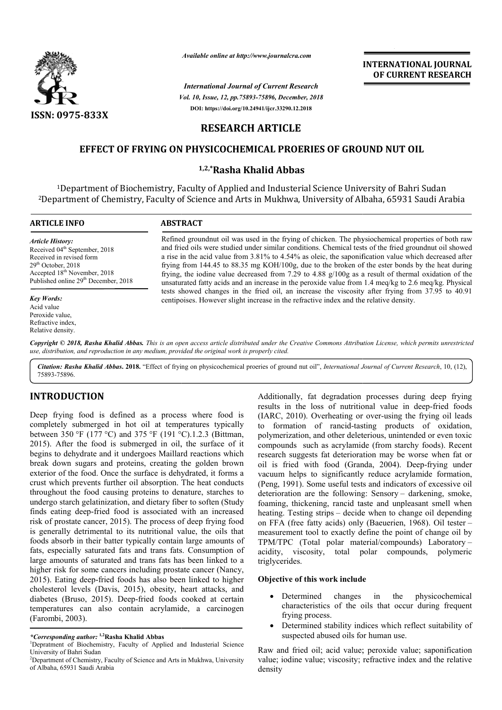

*Available online at http://www.journalcra.com*

*Vol. 10, Issue, 12, pp.75893-75896, December, 2018 International Journal of Current Research* **DOI: https://doi.org/10.24941/ijcr.33290.12.2018**

# **INTERNATIONAL JOURNAL OF CURRENT RESEARCH**

# **RESEARCH ARTICLE**

# **EFFECT OF FRYING ON PHYSICOCHEM PHYSICOCHEMICAL PROERIES OF GROUND NUT OIL ICAL**

# **1,2,\*Rasha Khalid Abbas**

<sup>1</sup>Department of Biochemistry, Faculty of Applied and Industerial Science University of Bahri Sudan <sup>1</sup>Department of Biochemistry, Faculty of Applied and Industerial Science University of Bahri Sudan<br>Department of Chemistry, Faculty of Science and Arts in Mukhwa, University of Albaha, 65931 Saudi Arabia<sup>2</sup>

| <b>ARTICLE INFO</b>                                                                                                                                                                                                      | <b>ABSTRACT</b>                                                                                                                                                                                                                                                                                                                                                                                                                                                                                                                                                                                                                             |
|--------------------------------------------------------------------------------------------------------------------------------------------------------------------------------------------------------------------------|---------------------------------------------------------------------------------------------------------------------------------------------------------------------------------------------------------------------------------------------------------------------------------------------------------------------------------------------------------------------------------------------------------------------------------------------------------------------------------------------------------------------------------------------------------------------------------------------------------------------------------------------|
| <b>Article History:</b><br>Received 04 <sup>th</sup> September, 2018<br>Received in revised form<br>$29th$ October, 2018<br>Accepted 18 <sup>th</sup> November, 2018<br>Published online 29 <sup>th</sup> December, 2018 | Refined groundnut oil was used in the frying of chicken. The physiochemical properties of both raw<br>and fried oils were studied under similar conditions. Chemical tests of the fried groundnut oil showed<br>a rise in the acid value from 3.81% to 4.54% as oleic, the saponification value which decreased after<br>frying from 144.45 to 88.35 mg KOH/100g, due to the broken of the ester bonds by the heat during<br>frying, the iodine value decreased from 7.29 to 4.88 $g/100g$ as a result of thermal oxidation of the<br>unsaturated fatty acids and an increase in the peroxide value from 1.4 meq/kg to 2.6 meq/kg. Physical |
| <b>Key Words:</b><br>Acid value<br>Peroxide value,<br>Refractive index.<br>Relative density.                                                                                                                             | tests showed changes in the fried oil, an increase the viscosity after frying from 37.95 to 40.91<br>centipoises. However slight increase in the refractive index and the relative density.                                                                                                                                                                                                                                                                                                                                                                                                                                                 |

Copyright © 2018, Rasha Khalid Abbas. This is an open access article distributed under the Creative Commons Attribution License, which permits unrestrictea *use, distribution, and reproduction in any medium, provided the original work is properly cited.*

Citation: Rasha Khalid Abbas. 2018. "Effect of frying on physicochemical proeries of ground nut oil", International Journal of Current Research, 10, (12), 75893-75896.

# **INTRODUCTION**

Deep frying food is defined as a process where food is completely submerged in hot oil at temperatures typically between 350 °F (177 °C) and 375 °F (191 °C).1.2.3 (Bittman, 2015). After the food is submerged in oil, the surface of it begins to dehydrate and it undergoes Maillard reactions which break down sugars and proteins, creating the golden brown exterior of the food. Once the surface is dehydrated, it forms a crust which prevents further oil absorption. The heat conducts throughout the food causing proteins to denature, starches to undergo starch gelatinization, and dietary fiber to soften (Study finds eating deep-fried food is associated with an increased risk of prostate cancer, 2015). The process of deep frying food is generally detrimental to its nutritional value, the oils that foods absorb in their batter typically contain large amounts of fats, especially saturated fats and trans fats. Consumption of large amounts of saturated and trans fats has been linked to a higher risk for some cancers including prostate cancer (Nancy, 2015). Eating deep-fried foods has also been linked to higher 2015). Eating deep-fried foods has also been linked to higher<br>cholesterol levels (Davis, 2015), obesity, heart attacks, and diabetes (Bruso, 2015). Deep-fried foods cooked at certain temperatures can also contain acrylamide, a carcinogen (Farombi, 2003). fried food is associated with an increased<br>ncer, 2015). The process of deep frying food<br>nental to its nutritional value, the oils that<br>eir batter typically contain large amounts of<br>urated fats and trans fats. Consumption o

**TION**<br> **CALC:** Additionally, fat degradation processes during deep frying<br>
or example from the constrained in bot oil at temperatures typically<br>
constraining of ranciclassing production<br>
concerned in bot oil at temperatu Additionally, fat degradation processes during deep frying<br>results in the loss of nutritional value in deep-fried foods (IARC, 2010). Overheating or over-using the frying oil leads to formation of rancid-tasting products of oxidation, polymerization, and other deleterious, unintended or even toxic compounds such as acrylamide (from starchy foods). Recent research suggests fat deterioration may be worse when fat or research suggests fat deterioration may be worse when fat or oil is fried with food (Granda, 2004). Deep-frying under vacuum helps to significantly reduce acrylamide formation, (Peng, 1991). Some useful tests and indicators of excessive oil deterioration are the following: Sensory - darkening, smoke, foaming, thickening, rancid taste and unpleasant smell when heating. Testing strips – decide when to change oil depending on FFA (free fatty acids) only (Baeuerien, 1968). Oil tester measurement tool to exactly define the point of change oil by measurement tool to exactly define the point of change oil by<br>TPM/TPC (Total polar material/compounds) Laboratory – acidity, viscosity, total polar compounds, polymeric triglycerides. elps to significantly reduce acrylamide formation,<br>
11). Some useful tests and indicators of excessive oil<br>
on are the following: Sensory – darkening, smoke, ncid taste and unpleasant smell when<br>decide when to change oil depending<br>) only (Baeuerien, 1968). Oil tester –

# **Objective of this work include this work**

- Determined changes in the physicochemical characteristics of the oils that occur during frequent frying process. Determined changes in the physicochemical<br>characteristics of the oils that occur during frequent<br>frying process.<br>Determined stability indices which reflect suitability of<br>suspected abused oils for human use.<br>nd fried oil;
- Determined stability indices which reflect suitability of suspected abused oils for human use.

Raw and fried oil; acid value; peroxide value; saponification value; iodine value; viscosity; refractive index and the relative density

*<sup>\*</sup>Corresponding author:* **1,2Rasha Khalid Abbas** <sup>1</sup>

<sup>&</sup>lt;sup>1</sup>Depratment of Biochemistry, Faculty of Applied and Industerial Science University of Bahri Sudan

<sup>&</sup>lt;sup>2</sup>Department of Chemistry, Faculty of Science and Arts in Mukhwa, University of Albaha, 65931 Saudi Arabia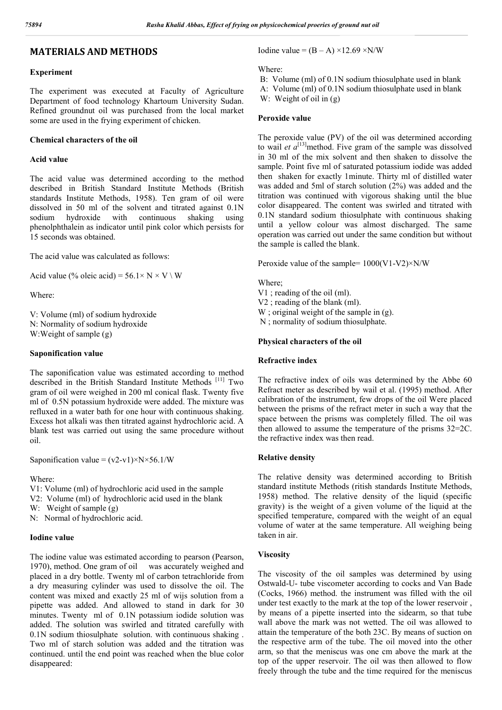# **MATERIALS AND METHODS**

## **Experiment**

The experiment was executed at Faculty of Agriculture Department of food technology Khartoum University Sudan. Refined groundnut oil was purchased from the local market some are used in the frying experiment of chicken.

### **Chemical characters of the oil**

### **Acid value**

The acid value was determined according to the method described in British Standard Institute Methods (British standards Institute Methods, 1958). Ten gram of oil were dissolved in 50 ml of the solvent and titrated against 0.1N sodium hydroxide with continuous shaking using phenolphthalein as indicator until pink color which persists for 15 seconds was obtained.

The acid value was calculated as follows:

Acid value (% oleic acid) =  $56.1 \times N \times V \setminus W$ 

Where:

V: Volume (ml) of sodium hydroxide N: Normality of sodium hydroxide W:Weight of sample (g)

## **Saponification value**

The saponification value was estimated according to method described in the British Standard Institute Methods [11] Two gram of oil were weighed in 200 ml conical flask. Twenty five ml of 0.5N potassium hydroxide were added. The mixture was refluxed in a water bath for one hour with continuous shaking. Excess hot alkali was then titrated against hydrochloric acid. A blank test was carried out using the same procedure without oil.

Saponification value =  $(v2-v1) \times N \times 56.1/W$ 

#### Where:

- V1: Volume (ml) of hydrochloric acid used in the sample
- V2: Volume (ml) of hydrochloric acid used in the blank
- W: Weight of sample (g)
- N: Normal of hydrochloric acid.

## **Iodine value**

The iodine value was estimated according to pearson (Pearson, 1970), method. One gram of oil was accurately weighed and placed in a dry bottle. Twenty ml of carbon tetrachloride from a dry measuring cylinder was used to dissolve the oil. The content was mixed and exactly 25 ml of wijs solution from a pipette was added. And allowed to stand in dark for 30 minutes. Twenty ml of 0.1N potassium iodide solution was added. The solution was swirled and titrated carefully with 0.1N sodium thiosulphate solution. with continuous shaking . Two ml of starch solution was added and the titration was continued. until the end point was reached when the blue color disappeared:

# Iodine value =  $(B - A) \times 12.69 \times N/W$

Where:

B: Volume (ml) of 0.1N sodium thiosulphate used in blank

A: Volume (ml) of 0.1N sodium thiosulphate used in blank

W: Weight of oil in (g)

### **Peroxide value**

The peroxide value (PV) of the oil was determined according to wail *et*  $a^{[13]}$ *method.* Five gram of the sample was dissolved in 30 ml of the mix solvent and then shaken to dissolve the sample. Point five ml of saturated potassium iodide was added then shaken for exactly 1minute. Thirty ml of distilled water was added and 5ml of starch solution (2%) was added and the titration was continued with vigorous shaking until the blue color disappeared. The content was swirled and titrated with 0.1N standard sodium thiosulphate with continuous shaking until a yellow colour was almost discharged. The same operation was carried out under the same condition but without the sample is called the blank.

Peroxide value of the sample= 1000(V1-V2)×N/W

#### Where;

V1 ; reading of the oil (ml). V2 ; reading of the blank (ml). W ; original weight of the sample in (g). N ; normality of sodium thiosulphate.

## **Physical characters of the oil**

#### **Refractive index**

The refractive index of oils was determined by the Abbe 60 Refract meter as described by wail et al. (1995) method. After calibration of the instrument, few drops of the oil Were placed between the prisms of the refract meter in such a way that the space between the prisms was completely filled. The oil was then allowed to assume the temperature of the prisms 32=2C. the refractive index was then read.

### **Relative density**

The relative density was determined according to British standard institute Methods (ritish standards Institute Methods, 1958) method. The relative density of the liquid (specific gravity) is the weight of a given volume of the liquid at the specified temperature, compared with the weight of an equal volume of water at the same temperature. All weighing being taken in air.

### **Viscosity**

The viscosity of the oil samples was determined by using Ostwald-U- tube viscometer according to cocks and Van Bade (Cocks, 1966) method. the instrument was filled with the oil under test exactly to the mark at the top of the lower reservoir , by means of a pipette inserted into the sidearm, so that tube wall above the mark was not wetted. The oil was allowed to attain the temperature of the both 23C. By means of suction on the respective arm of the tube. The oil moved into the other arm, so that the meniscus was one cm above the mark at the top of the upper reservoir. The oil was then allowed to flow freely through the tube and the time required for the meniscus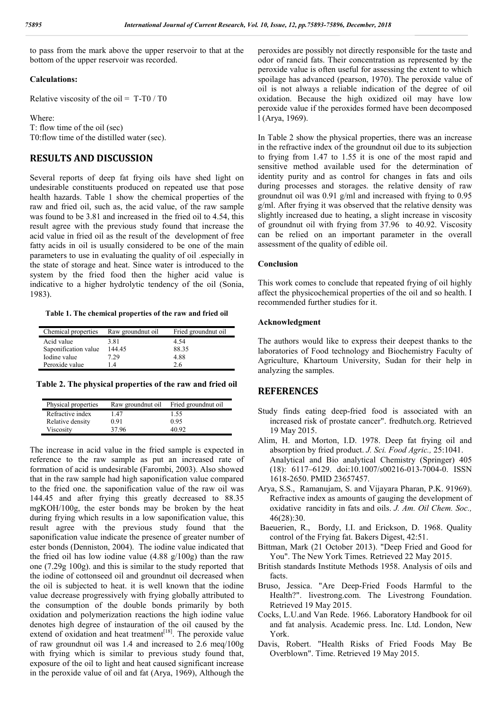to pass from the mark above the upper reservoir to that at the bottom of the upper reservoir was recorded.

## **Calculations:**

Relative viscosity of the oil =  $T-T0/T0$ 

Where: T: flow time of the oil (sec) T0:flow time of the distilled water (sec).

# **RESULTS AND DISCUSSION**

Several reports of deep fat frying oils have shed light on undesirable constituents produced on repeated use that pose health hazards. Table 1 show the chemical properties of the raw and fried oil, such as, the acid value, of the raw sample was found to be 3.81 and increased in the fried oil to 4.54, this result agree with the previous study found that increase the acid value in fried oil as the result of the development of free fatty acids in oil is usually considered to be one of the main parameters to use in evaluating the quality of oil .especially in the state of storage and heat. Since water is introduced to the system by the fried food then the higher acid value is indicative to a higher hydrolytic tendency of the oil (Sonia, 1983).

**Table 1. The chemical properties of the raw and fried oil**

| Chemical properties  | Raw groundnut oil | Fried ground nut oil |
|----------------------|-------------------|----------------------|
| Acid value           | 3.81              | 4.54                 |
| Saponification value | 144.45            | 88.35                |
| Iodine value         | 7.29              | 4.88                 |
| Peroxide value       | 14                | 2.6                  |

**Table 2. The physical properties of the raw and fried oil**

| Physical properties | Raw groundnut oil | Fried ground nut oil |
|---------------------|-------------------|----------------------|
| Refractive index    | 1.47              | 1.55                 |
| Relative density    | 0.91              | 0.95                 |
| Viscosity           | 37.96             | 40.92                |

The increase in acid value in the fried sample is expected in reference to the raw sample as put an increased rate of formation of acid is undesirable (Farombi, 2003). Also showed that in the raw sample had high saponification value compared to the fried one. the saponification value of the raw oil was 144.45 and after frying this greatly decreased to 88.35 mgKOH/100g, the ester bonds may be broken by the heat during frying which results in a low saponification value, this result agree with the previous study found that the saponification value indicate the presence of greater number of ester bonds (Denniston, 2004). The iodine value indicated that the fried oil has low iodine value  $(4.88 \text{ g}/100 \text{g})$  than the raw one (7.29g 100g). and this is similar to the study reported that the iodine of cottonseed oil and groundnut oil decreased when the oil is subjected to heat. it is well known that the iodine value decrease progressively with frying globally attributed to the consumption of the double bonds primarily by both oxidation and polymerization reactions the high iodine value denotes high degree of instauration of the oil caused by the  $\text{extend of oxidation and heat treatment}$ <sup>[18]</sup>. The peroxide value of raw groundnut oil was 1.4 and increased to 2.6 meq/100g with frying which is similar to previous study found that, exposure of the oil to light and heat caused significant increase in the peroxide value of oil and fat (Arya, 1969), Although the

peroxides are possibly not directly responsible for the taste and odor of rancid fats. Their concentration as represented by the peroxide value is often useful for assessing the extent to which spoilage has advanced (pearson, 1970). The peroxide value of oil is not always a reliable indication of the degree of oil oxidation. Because the high oxidized oil may have low peroxide value if the peroxides formed have been decomposed l (Arya, 1969).

In Table 2 show the physical properties, there was an increase in the refractive index of the groundnut oil due to its subjection to frying from 1.47 to 1.55 it is one of the most rapid and sensitive method available used for the determination of identity purity and as control for changes in fats and oils during processes and storages. the relative density of raw groundnut oil was 0.91 g/ml and increased with frying to 0.95 g/ml. After frying it was observed that the relative density was slightly increased due to heating, a slight increase in viscosity of groundnut oil with frying from 37.96 to 40.92. Viscosity can be relied on an important parameter in the overall assessment of the quality of edible oil.

## **Conclusion**

This work comes to conclude that repeated frying of oil highly affect the physicochemical properties of the oil and so health. I recommended further studies for it.

### **Acknowledgment**

The authors would like to express their deepest thanks to the laboratories of Food technology and Biochemistry Faculty of Agriculture, Khartoum University, Sudan for their help in analyzing the samples.

# **REFERENCES**

- Study finds eating deep-fried food is associated with an increased risk of prostate cancer". fredhutch.org. Retrieved 19 May 2015.
- Alim, H. and Morton, I.D. 1978. Deep fat frying oil and absorption by fried product. *J. Sci. Food Agric.,* 25:1041. Analytical and Bio analytical Chemistry (Springer) 405 (18): 6117–6129. doi:10.1007/s00216-013-7004-0. ISSN 1618-2650. PMID 23657457.
- Arya, S.S., Ramanujam, S. and Vijayara Pharan, P.K. 91969). Refractive index as amounts of gauging the development of oxidative rancidity in fats and oils. *J. Am. Oil Chem. Soc.,* 46(28):30.
- Baeuerien, R., Bordy, I.I. and Erickson, D. 1968. Quality control of the Frying fat. Bakers Digest, 42:51.
- Bittman, Mark (21 October 2013). "Deep Fried and Good for You". The New York Times. Retrieved 22 May 2015.
- British standards Institute Methods 1958. Analysis of oils and facts.
- Bruso, Jessica. "Are Deep-Fried Foods Harmful to the Health?". livestrong.com. The Livestrong Foundation. Retrieved 19 May 2015.
- Cocks, L.U.and Van Rede. 1966. Laboratory Handbook for oil and fat analysis. Academic press. Inc. Ltd. London, New York.
- Davis, Robert. "Health Risks of Fried Foods May Be Overblown". Time. Retrieved 19 May 2015.